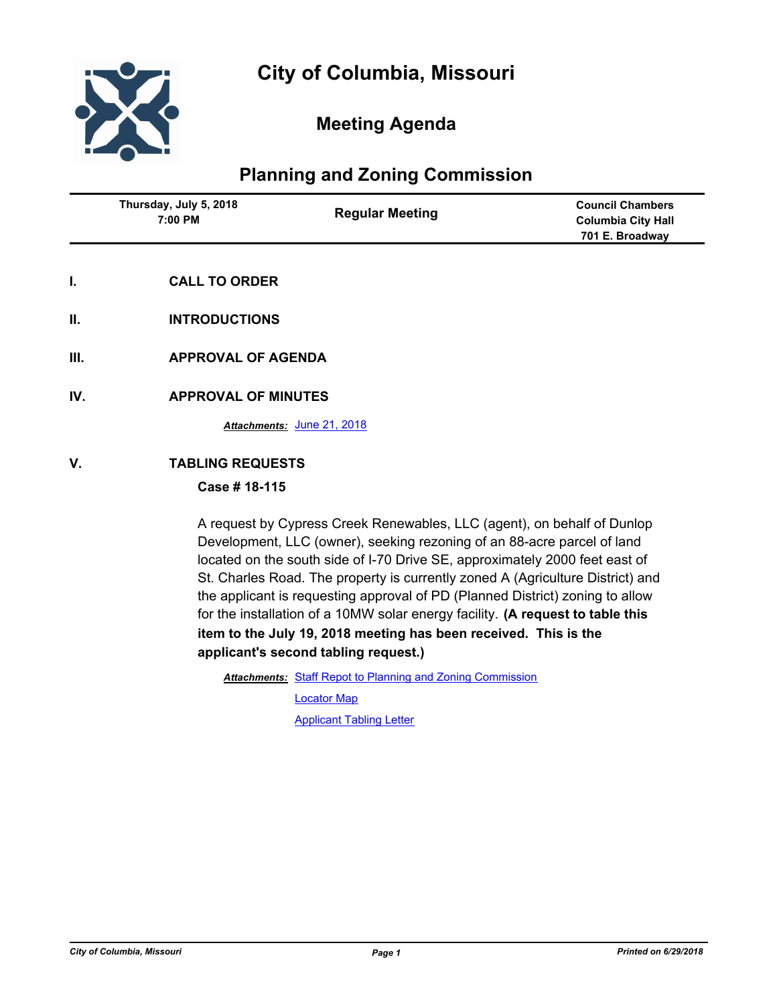

# **Meeting Agenda**

# **Planning and Zoning Commission**

| Thursday, July 5, 2018<br>7:00 PM | <b>Regular Meeting</b> | <b>Council Chambers</b><br>Columbia City Hall<br>701 E. Broadway |
|-----------------------------------|------------------------|------------------------------------------------------------------|
|                                   |                        |                                                                  |

- **I. CALL TO ORDER**
- **II. INTRODUCTIONS**
- **III. APPROVAL OF AGENDA**
- **IV. APPROVAL OF MINUTES**

*Attachments:* [June 21, 2018](http://gocolumbiamo.legistar.com/gateway.aspx?M=F&ID=95a8e199-c7cf-4752-ade9-2ab64a52e51f.docx)

#### **V. TABLING REQUESTS**

#### **Case # 18-115**

A request by Cypress Creek Renewables, LLC (agent), on behalf of Dunlop Development, LLC (owner), seeking rezoning of an 88-acre parcel of land located on the south side of I-70 Drive SE, approximately 2000 feet east of St. Charles Road. The property is currently zoned A (Agriculture District) and the applicant is requesting approval of PD (Planned District) zoning to allow for the installation of a 10MW solar energy facility. **(A request to table this item to the July 19, 2018 meeting has been received. This is the applicant's second tabling request.)**

Attachments: [Staff Repot to Planning and Zoning Commission](http://gocolumbiamo.legistar.com/gateway.aspx?M=F&ID=084d8075-ad24-4ae8-8ce1-9999301d6ef6.docx)

[Locator Map](http://gocolumbiamo.legistar.com/gateway.aspx?M=F&ID=95ffa2e9-5e60-47ee-9ebb-4fa9de04facb.pdf)

[Applicant Tabling Letter](http://gocolumbiamo.legistar.com/gateway.aspx?M=F&ID=9130f24c-476d-4dde-8036-aadf52175253.pdf)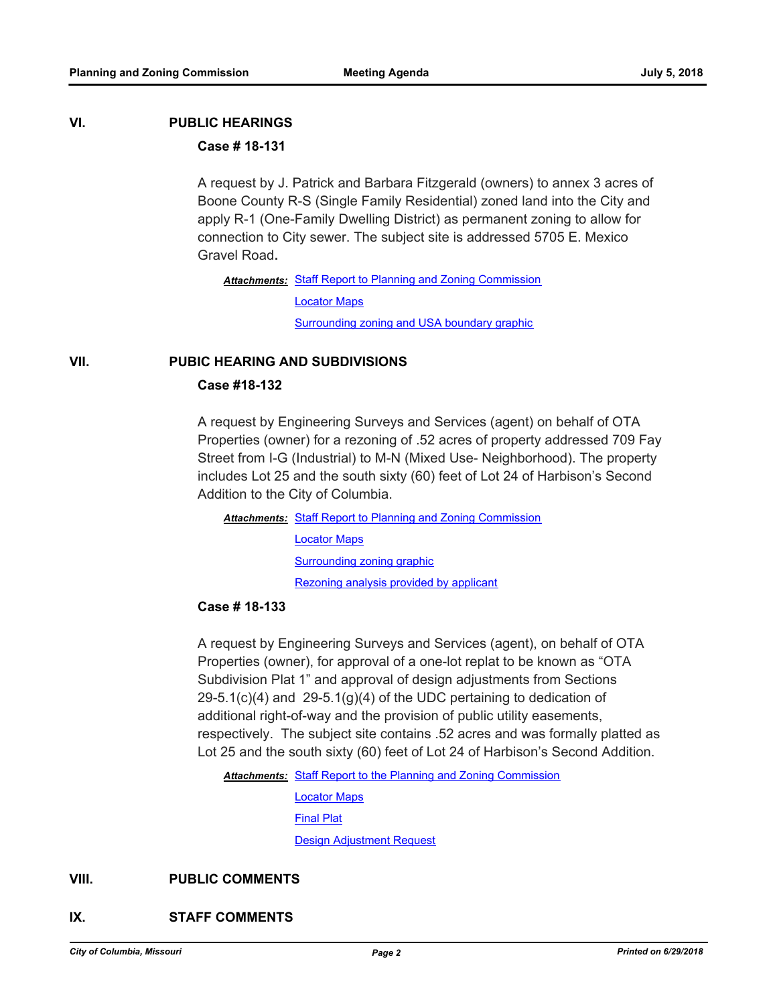# **VI. PUBLIC HEARINGS**

## **Case # 18-131**

A request by J. Patrick and Barbara Fitzgerald (owners) to annex 3 acres of Boone County R-S (Single Family Residential) zoned land into the City and apply R-1 (One-Family Dwelling District) as permanent zoning to allow for connection to City sewer. The subject site is addressed 5705 E. Mexico Gravel Road**.** 

Attachments: [Staff Report to Planning and Zoning Commission](http://gocolumbiamo.legistar.com/gateway.aspx?M=F&ID=e1966bbd-31d2-4c04-9eac-6f4cb2d7b190.docx) [Locator Maps](http://gocolumbiamo.legistar.com/gateway.aspx?M=F&ID=48c9f128-b6a4-40ce-b8c8-5eeebe40baaf.pdf) **[Surrounding zoning and USA boundary graphic](http://gocolumbiamo.legistar.com/gateway.aspx?M=F&ID=1351efe0-7c69-4a2f-8cfd-665b7b7c9bf7.jpg)** 

#### **VII. PUBIC HEARING AND SUBDIVISIONS**

#### **Case #18-132**

A request by Engineering Surveys and Services (agent) on behalf of OTA Properties (owner) for a rezoning of .52 acres of property addressed 709 Fay Street from I-G (Industrial) to M-N (Mixed Use- Neighborhood). The property includes Lot 25 and the south sixty (60) feet of Lot 24 of Harbison's Second Addition to the City of Columbia.

Attachments: [Staff Report to Planning and Zoning Commission](http://gocolumbiamo.legistar.com/gateway.aspx?M=F&ID=8b20e081-64e1-4e4e-84ca-fe3ec795e571.docx)

[Locator Maps](http://gocolumbiamo.legistar.com/gateway.aspx?M=F&ID=ff0c3158-74e5-48b5-9a1d-7de6356a21d5.pdf) [Surrounding zoning graphic](http://gocolumbiamo.legistar.com/gateway.aspx?M=F&ID=3ed352fc-b182-48a4-932a-e6c54b8e1d07.pdf) [Rezoning analysis provided by applicant](http://gocolumbiamo.legistar.com/gateway.aspx?M=F&ID=bf3fc384-ceee-4356-845c-8703d1feba84.pdf)

#### **Case # 18-133**

A request by Engineering Surveys and Services (agent), on behalf of OTA Properties (owner), for approval of a one-lot replat to be known as "OTA Subdivision Plat 1" and approval of design adjustments from Sections  $29-5.1(c)(4)$  and  $29-5.1(g)(4)$  of the UDC pertaining to dedication of additional right-of-way and the provision of public utility easements, respectively. The subject site contains .52 acres and was formally platted as Lot 25 and the south sixty (60) feet of Lot 24 of Harbison's Second Addition.

Attachments: [Staff Report to the Planning and Zoning Commission](http://gocolumbiamo.legistar.com/gateway.aspx?M=F&ID=b7b99d09-4c37-49bf-ab99-e0f55f80b71e.docx)

[Locator Maps](http://gocolumbiamo.legistar.com/gateway.aspx?M=F&ID=9d21e2b6-a26f-4be4-a1be-5a128c3cd9d4.pdf) [Final Plat](http://gocolumbiamo.legistar.com/gateway.aspx?M=F&ID=d8daf3b1-7262-477a-8696-e3b92f32a3d1.pdf)

[Design Adjustment Request](http://gocolumbiamo.legistar.com/gateway.aspx?M=F&ID=556de222-ff7b-46db-a934-34cda78d87c0.pdf)

## **VIII. PUBLIC COMMENTS**

#### **IX. STAFF COMMENTS**